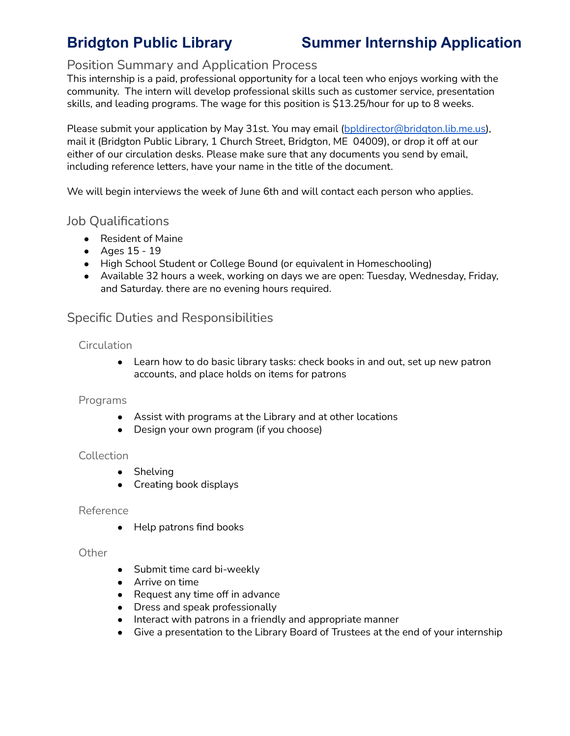# **Bridgton Public Library Summer Internship Application**

## Position Summary and Application Process

This internship is a paid, professional opportunity for a local teen who enjoys working with the community. The intern will develop professional skills such as customer service, presentation skills, and leading programs. The wage for this position is \$13.25/hour for up to 8 weeks.

Please submit your application by May 31st. You may email ([bpldirector@bridgton.lib.me.us\)](mailto:bpldirector@bridgton.lib.me.us), mail it (Bridgton Public Library, 1 Church Street, Bridgton, ME 04009), or drop it off at our either of our circulation desks. Please make sure that any documents you send by email, including reference letters, have your name in the title of the document.

We will begin interviews the week of June 6th and will contact each person who applies.

## Job Qualifications

- Resident of Maine
- Ages 15 19
- High School Student or College Bound (or equivalent in Homeschooling)
- Available 32 hours a week, working on days we are open: Tuesday, Wednesday, Friday, and Saturday. there are no evening hours required.

## Specific Duties and Responsibilities

### **Circulation**

● Learn how to do basic library tasks: check books in and out, set up new patron accounts, and place holds on items for patrons

### Programs

- Assist with programs at the Library and at other locations
- Design your own program (if you choose)

### **Collection**

- Shelving
- Creating book displays

#### Reference

• Help patrons find books

#### **Other**

- Submit time card bi-weekly
- Arrive on time
- Request any time off in advance
- Dress and speak professionally
- Interact with patrons in a friendly and appropriate manner
- Give a presentation to the Library Board of Trustees at the end of your internship